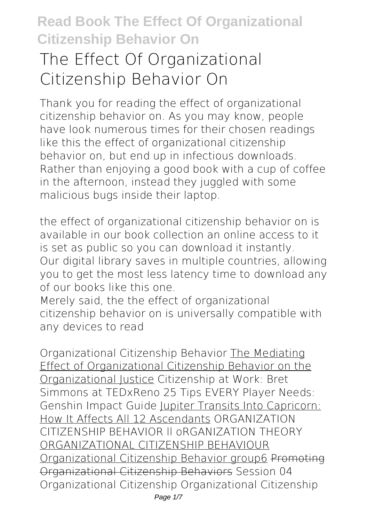# **The Effect Of Organizational Citizenship Behavior On**

Thank you for reading **the effect of organizational citizenship behavior on**. As you may know, people have look numerous times for their chosen readings like this the effect of organizational citizenship behavior on, but end up in infectious downloads. Rather than enjoying a good book with a cup of coffee in the afternoon, instead they juggled with some malicious bugs inside their laptop.

the effect of organizational citizenship behavior on is available in our book collection an online access to it is set as public so you can download it instantly. Our digital library saves in multiple countries, allowing you to get the most less latency time to download any of our books like this one.

Merely said, the the effect of organizational citizenship behavior on is universally compatible with any devices to read

*Organizational Citizenship Behavior* The Mediating Effect of Organizational Citizenship Behavior on the Organizational Justice *Citizenship at Work: Bret Simmons at TEDxReno 25 Tips EVERY Player Needs: Genshin Impact Guide* Jupiter Transits Into Capricorn: How It Affects All 12 Ascendants **ORGANIZATION CITIZENSHIP BEHAVIOR ll oRGANIZATION THEORY** ORGANIZATIONAL CITIZENSHIP BEHAVIOUR Organizational Citizenship Behavior group6 Promoting Organizational Citizenship Behaviors **Session 04 Organizational Citizenship** *Organizational Citizenship*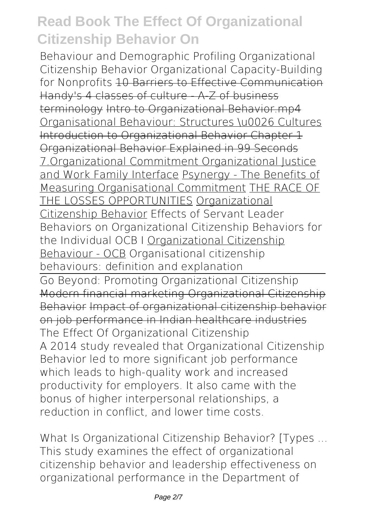*Behaviour and Demographic Profiling* **Organizational Citizenship Behavior** Organizational Capacity-Building for Nonprofits 10 Barriers to Effective Communication Handy's 4 classes of culture - A-Z of business terminology Intro to Organizational Behavior.mp4 Organisational Behaviour: Structures \u0026 Cultures Introduction to Organizational Behavior Chapter 1 Organizational Behavior Explained in 99 Seconds 7.Organizational Commitment Organizational Justice and Work Family Interface Psynergy - The Benefits of Measuring Organisational Commitment THE RACE OF THE LOSSES OPPORTUNITIES Organizational Citizenship Behavior Effects of Servant Leader Behaviors on Organizational Citizenship Behaviors for the Individual OCB I Organizational Citizenship Behaviour - OCB *Organisational citizenship behaviours: definition and explanation* Go Beyond: Promoting Organizational Citizenship Modern financial marketing-Organizational Citizenship Behavior Impact of organizational citizenship behavior on job performance in Indian healthcare industries **The Effect Of Organizational Citizenship** A 2014 study revealed that Organizational Citizenship Behavior led to more significant job performance which leads to high-quality work and increased productivity for employers. It also came with the bonus of higher interpersonal relationships, a reduction in conflict, and lower time costs.

**What Is Organizational Citizenship Behavior? [Types ...** This study examines the effect of organizational citizenship behavior and leadership effectiveness on organizational performance in the Department of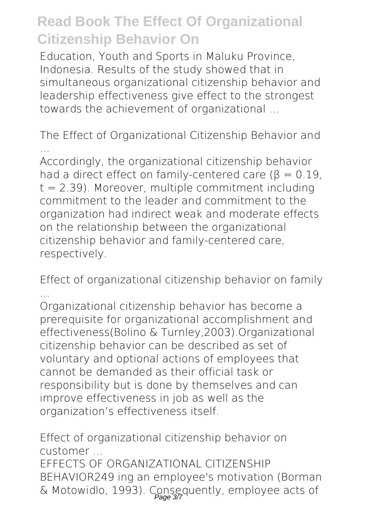Education, Youth and Sports in Maluku Province, Indonesia. Results of the study showed that in simultaneous organizational citizenship behavior and leadership effectiveness give effect to the strongest towards the achievement of organizational ...

**The Effect of Organizational Citizenship Behavior and ...**

Accordingly, the organizational citizenship behavior had a direct effect on family-centered care ( $\beta = 0.19$ )  $t = 2.39$ ). Moreover, multiple commitment including commitment to the leader and commitment to the organization had indirect weak and moderate effects on the relationship between the organizational citizenship behavior and family-centered care, respectively.

**Effect of organizational citizenship behavior on family ...**

Organizational citizenship behavior has become a prerequisite for organizational accomplishment and effectiveness(Bolino & Turnley,2003).Organizational citizenship behavior can be described as set of voluntary and optional actions of employees that cannot be demanded as their official task or responsibility but is done by themselves and can improve effectiveness in job as well as the organization's effectiveness itself.

**Effect of organizational citizenship behavior on customer ...**

EFFECTS OF ORGANIZATIONAL CITIZENSHIP BEHAVIOR249 ing an employee's motivation (Borman & Motowidlo, 1993). Consequently, employee acts of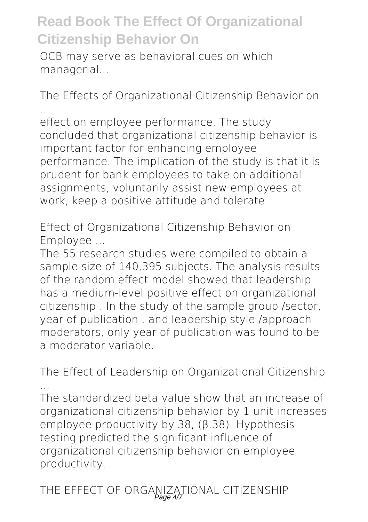OCB may serve as behavioral cues on which managerial...

**The Effects of Organizational Citizenship Behavior on ...**

effect on employee performance. The study concluded that organizational citizenship behavior is important factor for enhancing employee performance. The implication of the study is that it is prudent for bank employees to take on additional assignments, voluntarily assist new employees at work, keep a positive attitude and tolerate

**Effect of Organizational Citizenship Behavior on Employee ...**

The 55 research studies were compiled to obtain a sample size of 140,395 subjects. The analysis results of the random effect model showed that leadership has a medium-level positive effect on organizational citizenship . In the study of the sample group /sector, year of publication , and leadership style /approach moderators, only year of publication was found to be a moderator variable.

**The Effect of Leadership on Organizational Citizenship ...**

The standardized beta value show that an increase of organizational citizenship behavior by 1 unit increases employee productivity by.38, (β.38). Hypothesis testing predicted the significant influence of organizational citizenship behavior on employee productivity.

**THE EFFECT OF ORGANIZATIONAL CITIZENSHIP** Page 4/7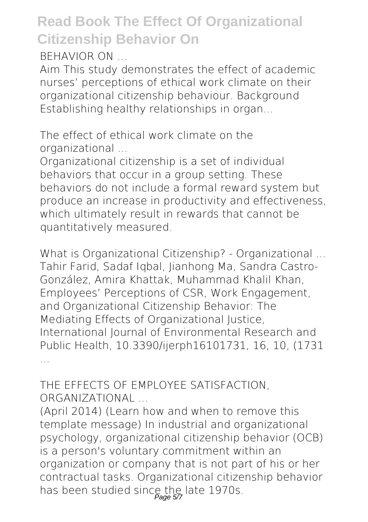**BEHAVIOR ON ...**

Aim This study demonstrates the effect of academic nurses' perceptions of ethical work climate on their organizational citizenship behaviour. Background Establishing healthy relationships in organ...

**The effect of ethical work climate on the organizational ...**

Organizational citizenship is a set of individual behaviors that occur in a group setting. These behaviors do not include a formal reward system but produce an increase in productivity and effectiveness, which ultimately result in rewards that cannot be quantitatively measured.

**What is Organizational Citizenship? - Organizational ...** Tahir Farid, Sadaf Iqbal, Jianhong Ma, Sandra Castro-González, Amira Khattak, Muhammad Khalil Khan, Employees' Perceptions of CSR, Work Engagement, and Organizational Citizenship Behavior: The Mediating Effects of Organizational Justice. International Journal of Environmental Research and Public Health, 10.3390/ijerph16101731, 16, 10, (1731 ...

**THE EFFECTS OF EMPLOYEE SATISFACTION, ORGANIZATIONAL ...**

(April 2014) (Learn how and when to remove this template message) In industrial and organizational psychology, organizational citizenship behavior (OCB) is a person's voluntary commitment within an organization or company that is not part of his or her contractual tasks. Organizational citizenship behavior has been studied since the late 1970s.<br>Page 57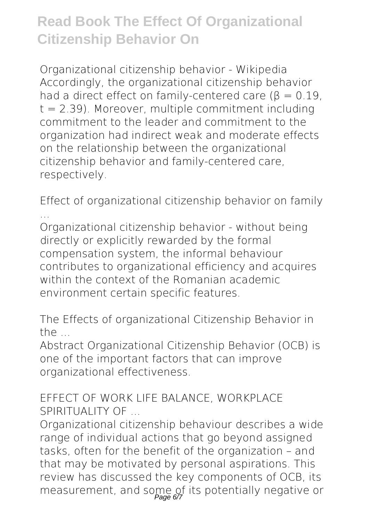**Organizational citizenship behavior - Wikipedia** Accordingly, the organizational citizenship behavior had a direct effect on family-centered care ( $\beta = 0.19$ )  $t = 2.39$ ). Moreover, multiple commitment including commitment to the leader and commitment to the organization had indirect weak and moderate effects on the relationship between the organizational citizenship behavior and family-centered care, respectively.

**Effect of organizational citizenship behavior on family ...**

Organizational citizenship behavior - without being directly or explicitly rewarded by the formal compensation system, the informal behaviour contributes to organizational efficiency and acquires within the context of the Romanian academic environment certain specific features.

**The Effects of organizational Citizenship Behavior in the ...**

Abstract Organizational Citizenship Behavior (OCB) is one of the important factors that can improve organizational effectiveness.

#### **EFFECT OF WORK LIFE BALANCE, WORKPLACE SPIRITUALITY OF ...**

Organizational citizenship behaviour describes a wide range of individual actions that go beyond assigned tasks, often for the benefit of the organization – and that may be motivated by personal aspirations. This review has discussed the key components of OCB, its measurement, and some of its potentially negative or